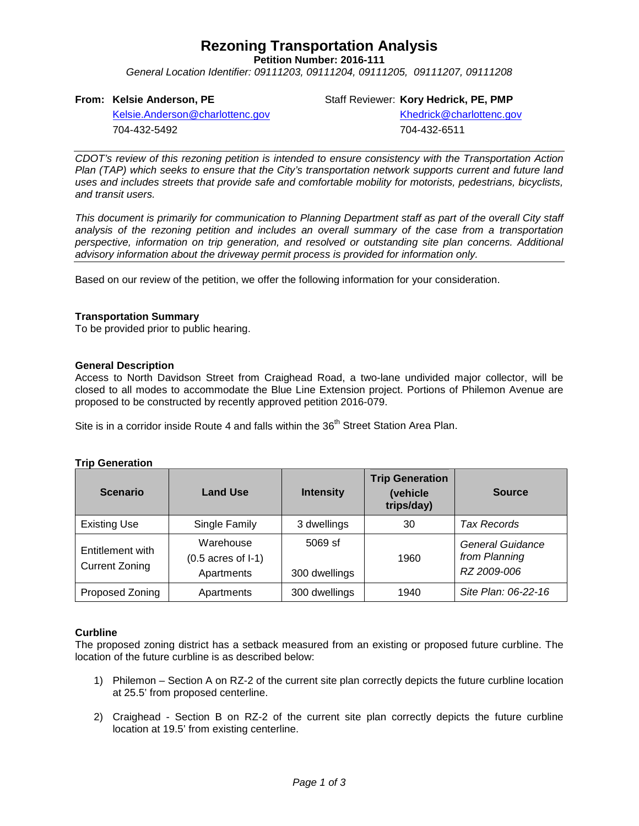## **Rezoning Transportation Analysis**

**Petition Number: 2016-111**

*General Location Identifier: 09111203, 09111204, 09111205, 09111207, 09111208*

## **From: Kelsie Anderson, PE**

Staff Reviewer: **Kory Hedrick, PE, PMP**

[Kelsie.Anderson@charlottenc.gov](mailto:Kelsie.Anderson@charlottenc.gov) 704-432-5492

Khedrick@charlottenc.gov 704-432-6511

*CDOT's review of this rezoning petition is intended to ensure consistency with the Transportation Action Plan (TAP) which seeks to ensure that the City's transportation network supports current and future land uses and includes streets that provide safe and comfortable mobility for motorists, pedestrians, bicyclists, and transit users.*

*This document is primarily for communication to Planning Department staff as part of the overall City staff analysis of the rezoning petition and includes an overall summary of the case from a transportation perspective, information on trip generation, and resolved or outstanding site plan concerns. Additional advisory information about the driveway permit process is provided for information only.*

Based on our review of the petition, we offer the following information for your consideration.

### **Transportation Summary**

To be provided prior to public hearing.

### **General Description**

Access to North Davidson Street from Craighead Road, a two-lane undivided major collector, will be closed to all modes to accommodate the Blue Line Extension project. Portions of Philemon Avenue are proposed to be constructed by recently approved petition 2016-079.

Site is in a corridor inside Route 4 and falls within the 36<sup>th</sup> Street Station Area Plan.

#### **Trip Generation**

| <b>Scenario</b>                           | <b>Land Use</b>                                          | <b>Intensity</b>           | <b>Trip Generation</b><br>(vehicle<br>trips/day) | <b>Source</b>                                    |
|-------------------------------------------|----------------------------------------------------------|----------------------------|--------------------------------------------------|--------------------------------------------------|
| <b>Existing Use</b>                       | Single Family                                            | 3 dwellings                | 30                                               | Tax Records                                      |
| Entitlement with<br><b>Current Zoning</b> | Warehouse<br>$(0.5 \text{ acres of } I-1)$<br>Apartments | $5069$ sf<br>300 dwellings | 1960                                             | General Guidance<br>from Planning<br>RZ 2009-006 |
| Proposed Zoning                           | Apartments                                               | 300 dwellings              | 1940                                             | Site Plan: 06-22-16                              |

#### **Curbline**

The proposed zoning district has a setback measured from an existing or proposed future curbline. The location of the future curbline is as described below:

- 1) Philemon Section A on RZ-2 of the current site plan correctly depicts the future curbline location at 25.5' from proposed centerline.
- 2) Craighead Section B on RZ-2 of the current site plan correctly depicts the future curbline location at 19.5' from existing centerline.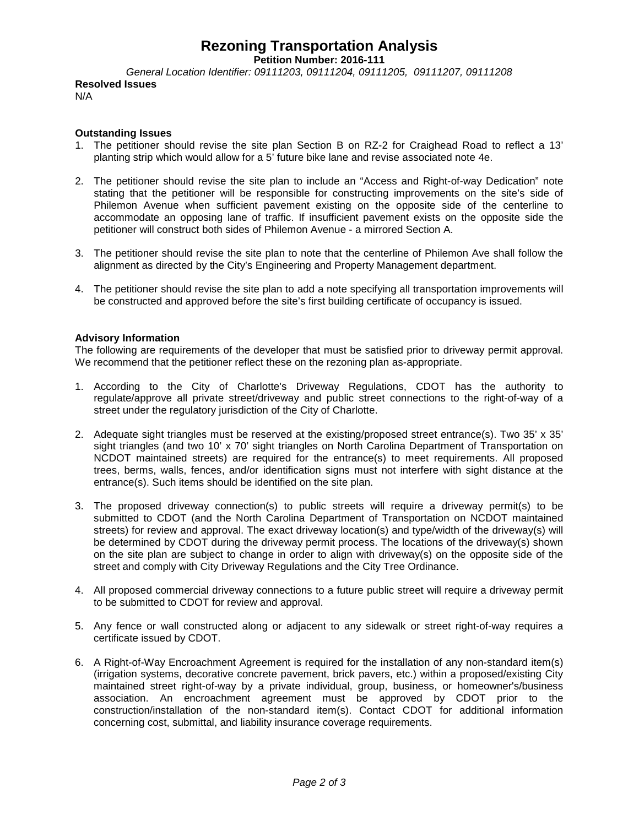## **Rezoning Transportation Analysis**

**Petition Number: 2016-111**

*General Location Identifier: 09111203, 09111204, 09111205, 09111207, 09111208* **Resolved Issues**

N/A

## **Outstanding Issues**

- 1. The petitioner should revise the site plan Section B on RZ-2 for Craighead Road to reflect a 13' planting strip which would allow for a 5' future bike lane and revise associated note 4e.
- 2. The petitioner should revise the site plan to include an "Access and Right-of-way Dedication" note stating that the petitioner will be responsible for constructing improvements on the site's side of Philemon Avenue when sufficient pavement existing on the opposite side of the centerline to accommodate an opposing lane of traffic. If insufficient pavement exists on the opposite side the petitioner will construct both sides of Philemon Avenue - a mirrored Section A.
- 3. The petitioner should revise the site plan to note that the centerline of Philemon Ave shall follow the alignment as directed by the City's Engineering and Property Management department.
- 4. The petitioner should revise the site plan to add a note specifying all transportation improvements will be constructed and approved before the site's first building certificate of occupancy is issued.

## **Advisory Information**

The following are requirements of the developer that must be satisfied prior to driveway permit approval. We recommend that the petitioner reflect these on the rezoning plan as-appropriate.

- 1. According to the City of Charlotte's Driveway Regulations, CDOT has the authority to regulate/approve all private street/driveway and public street connections to the right-of-way of a street under the regulatory jurisdiction of the City of Charlotte.
- 2. Adequate sight triangles must be reserved at the existing/proposed street entrance(s). Two 35' x 35' sight triangles (and two 10' x 70' sight triangles on North Carolina Department of Transportation on NCDOT maintained streets) are required for the entrance(s) to meet requirements. All proposed trees, berms, walls, fences, and/or identification signs must not interfere with sight distance at the entrance(s). Such items should be identified on the site plan.
- 3. The proposed driveway connection(s) to public streets will require a driveway permit(s) to be submitted to CDOT (and the North Carolina Department of Transportation on NCDOT maintained streets) for review and approval. The exact driveway location(s) and type/width of the driveway(s) will be determined by CDOT during the driveway permit process. The locations of the driveway(s) shown on the site plan are subject to change in order to align with driveway(s) on the opposite side of the street and comply with City Driveway Regulations and the City Tree Ordinance.
- 4. All proposed commercial driveway connections to a future public street will require a driveway permit to be submitted to CDOT for review and approval.
- 5. Any fence or wall constructed along or adjacent to any sidewalk or street right-of-way requires a certificate issued by CDOT.
- 6. A Right-of-Way Encroachment Agreement is required for the installation of any non-standard item(s) (irrigation systems, decorative concrete pavement, brick pavers, etc.) within a proposed/existing City maintained street right-of-way by a private individual, group, business, or homeowner's/business association. An encroachment agreement must be approved by CDOT prior to the construction/installation of the non-standard item(s). Contact CDOT for additional information concerning cost, submittal, and liability insurance coverage requirements.